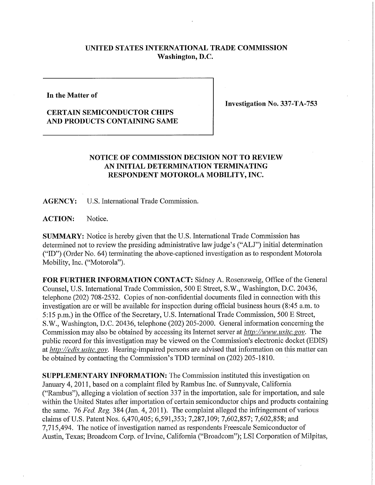## **UNITED STATES INTERNATIONAL TRADE COMMISSION Washington, D.C.**

**In the Matter of** 

## **CERTAIN SEMICONDUCTOR CHIPS AND PRODUCTS CONTAINING SAME**

**Investigation No. 337-TA-753** 

## **NOTICE OF COMMISSION DECISION NOT TO REVIEW AN INITIAL DETERMINATION TERMINATING RESPONDENT MOTOROLA MOBILITY, INC.**

**AGENCY:** U.S. International Trade Commission.

**ACTION:** Notice.

**SUMMARY:** Notice is hereby given that the U.S. International Trade Commission has determined not to review the presiding administrative law judge's ("ALJ") initial determination ("ID") (Order No. 64) terminating the above-captioned investigation as to respondent Motorola Mobility, Inc. ("Motorola").

**FOR FURTHER INFORMATION CONTACT:** Sidney A. Rosenzweig, Office of the General Counsel, U.S. International Trade Commission, 500 E Street, S.W., Washington, D.C. 20436, telephone (202) 708-2532. Copies of non-confidential documents filed in connection with this investigation are or will be available for inspection during official business hours (8:45 a.m. to 5:15 p.m.) in the Office of the Secretary, U.S. International Trade Commission, 500 E Street, S.W., Washington, D.C. 20436, telephone (202) 205-2000. General information concerning the Commission may also be obtained by accessing its Internet server at *http://www. usitc. gov.* The public record for this investigation may be viewed on the Commission's electronic docket (EDIS) at *http://edis. usitc. gov.* Hearing-impaired persons are advised that information on this matter can be obtained by contacting the Commission's TDD terminal on (202) 205-1810.

**SUPPLEMENTARY INFORMATION:** The Commission instituted this investigation on January 4, 2011, based on a complaint filed by Rambus Inc. of Sunnyvale, California ("Rambus"), alleging a violation of section 337 in the importation, sale for importation, and sale within the United States after importation of certain semiconductor chips and products containing the same. 76 *Fed. Reg.* 384 (Jan. 4, 2011). The complaint alleged the infringement of various claims of U.S. Patent Nos. 6,470,405; 6,591,353; 7,287,109; 7,602,857; 7,602,858; and 7,715,494. The notice of investigation named as respondents Freescale Semiconductor of Austin, Texas; Broadcom Corp. of Irvine, California ("Broadcom"); LSI Corporation of Milpitas,